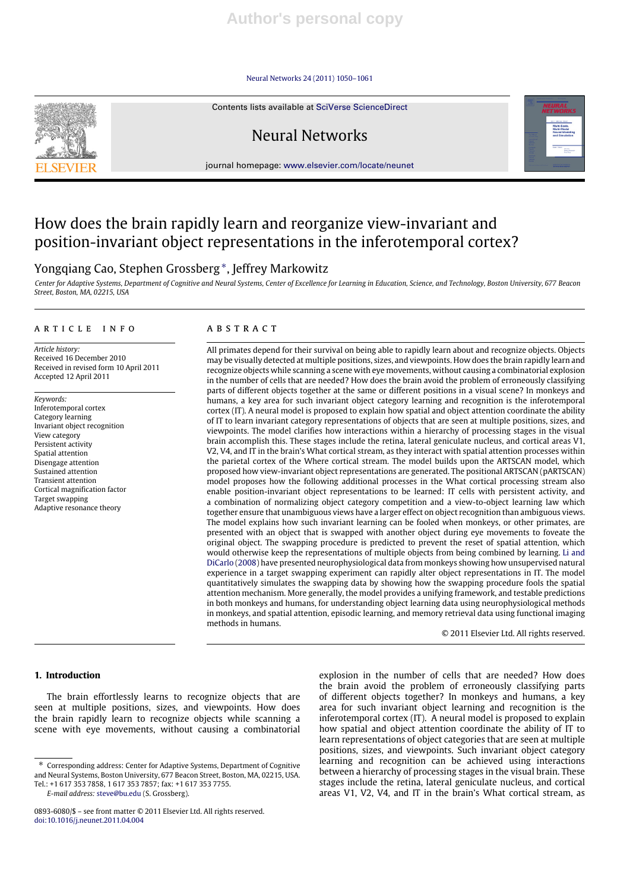## Neural Networks 24 (2011) 1050–1061

Contents lists available at SciVerse ScienceDirect





journal homepage: www.elsevier.com/locate/neunet



# How does the brain rapidly learn and reorganize view-invariant and position-invariant object representations in the inferotemporal cortex?

## Yongqiang Cao, Stephen Grossberg <sup>∗</sup> , Jeffrey Markowitz

*Center for Adaptive Systems, Department of Cognitive and Neural Systems, Center of Excellence for Learning in Education, Science, and Technology, Boston University, 677 Beacon Street, Boston, MA, 02215, USA*

## a r t i c l e i n f o

*Article history:* Received 16 December 2010 Received in revised form 10 April 2011 Accepted 12 April 2011

*Keywords:* Inferotemporal cortex Category learning Invariant object recognition View category Persistent activity Spatial attention Disengage attention Sustained attention Transient attention Cortical magnification factor Target swapping Adaptive resonance theory

## a b s t r a c t

All primates depend for their survival on being able to rapidly learn about and recognize objects. Objects may be visually detected at multiple positions, sizes, and viewpoints. How does the brain rapidly learn and recognize objects while scanning a scene with eye movements, without causing a combinatorial explosion in the number of cells that are needed? How does the brain avoid the problem of erroneously classifying parts of different objects together at the same or different positions in a visual scene? In monkeys and humans, a key area for such invariant object category learning and recognition is the inferotemporal cortex (IT). A neural model is proposed to explain how spatial and object attention coordinate the ability of IT to learn invariant category representations of objects that are seen at multiple positions, sizes, and viewpoints. The model clarifies how interactions within a hierarchy of processing stages in the visual brain accomplish this. These stages include the retina, lateral geniculate nucleus, and cortical areas V1, V2, V4, and IT in the brain's What cortical stream, as they interact with spatial attention processes within the parietal cortex of the Where cortical stream. The model builds upon the ARTSCAN model, which proposed how view-invariant object representations are generated. The positional ARTSCAN (pARTSCAN) model proposes how the following additional processes in the What cortical processing stream also enable position-invariant object representations to be learned: IT cells with persistent activity, and a combination of normalizing object category competition and a view-to-object learning law which together ensure that unambiguous views have a larger effect on object recognition than ambiguous views. The model explains how such invariant learning can be fooled when monkeys, or other primates, are presented with an object that is swapped with another object during eye movements to foveate the original object. The swapping procedure is predicted to prevent the reset of spatial attention, which would otherwise keep the representations of multiple objects from being combined by learning. Li and DiCarlo (2008) have presented neurophysiological data from monkeys showing how unsupervised natural experience in a target swapping experiment can rapidly alter object representations in IT. The model quantitatively simulates the swapping data by showing how the swapping procedure fools the spatial attention mechanism. More generally, the model provides a unifying framework, and testable predictions in both monkeys and humans, for understanding object learning data using neurophysiological methods in monkeys, and spatial attention, episodic learning, and memory retrieval data using functional imaging methods in humans.

© 2011 Elsevier Ltd. All rights reserved.

## **1. Introduction**

The brain effortlessly learns to recognize objects that are seen at multiple positions, sizes, and viewpoints. How does the brain rapidly learn to recognize objects while scanning a scene with eye movements, without causing a combinatorial

*E-mail address:* steve@bu.edu (S. Grossberg).

explosion in the number of cells that are needed? How does the brain avoid the problem of erroneously classifying parts of different objects together? In monkeys and humans, a key area for such invariant object learning and recognition is the inferotemporal cortex (IT). A neural model is proposed to explain how spatial and object attention coordinate the ability of IT to learn representations of object categories that are seen at multiple positions, sizes, and viewpoints. Such invariant object category learning and recognition can be achieved using interactions between a hierarchy of processing stages in the visual brain. These stages include the retina, lateral geniculate nucleus, and cortical areas V1, V2, V4, and IT in the brain's What cortical stream, as

<sup>∗</sup> Corresponding address: Center for Adaptive Systems, Department of Cognitive and Neural Systems, Boston University, 677 Beacon Street, Boston, MA, 02215, USA. Tel.: +1 617 353 7858, 1 617 353 7857; fax: +1 617 353 7755.

<sup>0893-6080/\$ –</sup> see front matter © 2011 Elsevier Ltd. All rights reserved. doi:10.1016/j.neunet.2011.04.004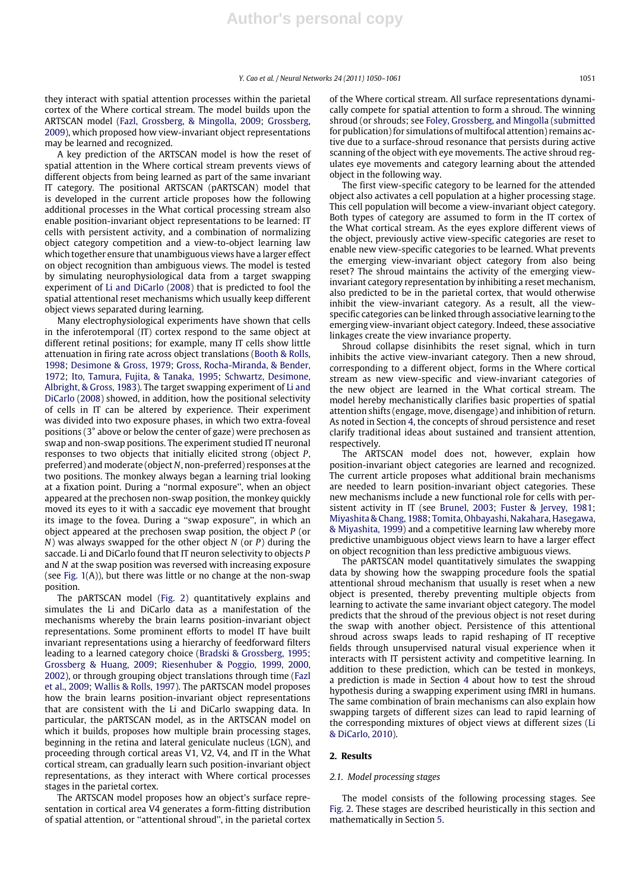they interact with spatial attention processes within the parietal cortex of the Where cortical stream. The model builds upon the ARTSCAN model (Fazl, Grossberg, & Mingolla, 2009; Grossberg, 2009), which proposed how view-invariant object representations may be learned and recognized.

A key prediction of the ARTSCAN model is how the reset of spatial attention in the Where cortical stream prevents views of different objects from being learned as part of the same invariant IT category. The positional ARTSCAN (pARTSCAN) model that is developed in the current article proposes how the following additional processes in the What cortical processing stream also enable position-invariant object representations to be learned: IT cells with persistent activity, and a combination of normalizing object category competition and a view-to-object learning law which together ensure that unambiguous views have a larger effect on object recognition than ambiguous views. The model is tested by simulating neurophysiological data from a target swapping experiment of Li and DiCarlo (2008) that is predicted to fool the spatial attentional reset mechanisms which usually keep different object views separated during learning.

Many electrophysiological experiments have shown that cells in the inferotemporal (IT) cortex respond to the same object at different retinal positions; for example, many IT cells show little attenuation in firing rate across object translations (Booth & Rolls, 1998; Desimone & Gross, 1979; Gross, Rocha-Miranda, & Bender, 1972; Ito, Tamura, Fujita, & Tanaka, 1995; Schwartz, Desimone, Albright, & Gross, 1983). The target swapping experiment of Li and DiCarlo (2008) showed, in addition, how the positional selectivity of cells in IT can be altered by experience. Their experiment was divided into two exposure phases, in which two extra-foveal positions (3° above or below the center of gaze) were prechosen as swap and non-swap positions. The experiment studied IT neuronal responses to two objects that initially elicited strong (object *P*, preferred) and moderate (object *N*, non-preferred) responses at the two positions. The monkey always began a learning trial looking at a fixation point. During a ''normal exposure'', when an object appeared at the prechosen non-swap position, the monkey quickly moved its eyes to it with a saccadic eye movement that brought its image to the fovea. During a ''swap exposure'', in which an object appeared at the prechosen swap position, the object *P* (or *N*) was always swapped for the other object *N* (or *P*) during the saccade. Li and DiCarlo found that IT neuron selectivity to objects *P* and *N* at the swap position was reversed with increasing exposure (see Fig. 1(A)), but there was little or no change at the non-swap position.

The pARTSCAN model (Fig. 2) quantitatively explains and simulates the Li and DiCarlo data as a manifestation of the mechanisms whereby the brain learns position-invariant object representations. Some prominent efforts to model IT have built invariant representations using a hierarchy of feedforward filters leading to a learned category choice (Bradski & Grossberg, 1995; Grossberg & Huang, 2009; Riesenhuber & Poggio, 1999, 2000, 2002), or through grouping object translations through time (Fazl et al., 2009; Wallis & Rolls, 1997). The pARTSCAN model proposes how the brain learns position-invariant object representations that are consistent with the Li and DiCarlo swapping data. In particular, the pARTSCAN model, as in the ARTSCAN model on which it builds, proposes how multiple brain processing stages, beginning in the retina and lateral geniculate nucleus (LGN), and proceeding through cortical areas V1, V2, V4, and IT in the What cortical stream, can gradually learn such position-invariant object representations, as they interact with Where cortical processes stages in the parietal cortex.

The ARTSCAN model proposes how an object's surface representation in cortical area V4 generates a form-fitting distribution of spatial attention, or ''attentional shroud'', in the parietal cortex of the Where cortical stream. All surface representations dynamically compete for spatial attention to form a shroud. The winning shroud (or shrouds; see Foley, Grossberg, and Mingolla (submitted for publication) for simulations of multifocal attention) remains active due to a surface-shroud resonance that persists during active scanning of the object with eye movements. The active shroud regulates eye movements and category learning about the attended object in the following way.

The first view-specific category to be learned for the attended object also activates a cell population at a higher processing stage. This cell population will become a view-invariant object category. Both types of category are assumed to form in the IT cortex of the What cortical stream. As the eyes explore different views of the object, previously active view-specific categories are reset to enable new view-specific categories to be learned. What prevents the emerging view-invariant object category from also being reset? The shroud maintains the activity of the emerging viewinvariant category representation by inhibiting a reset mechanism, also predicted to be in the parietal cortex, that would otherwise inhibit the view-invariant category. As a result, all the viewspecific categories can be linked through associative learning to the emerging view-invariant object category. Indeed, these associative linkages create the view invariance property.

Shroud collapse disinhibits the reset signal, which in turn inhibits the active view-invariant category. Then a new shroud, corresponding to a different object, forms in the Where cortical stream as new view-specific and view-invariant categories of the new object are learned in the What cortical stream. The model hereby mechanistically clarifies basic properties of spatial attention shifts (engage, move, disengage) and inhibition of return. As noted in Section 4, the concepts of shroud persistence and reset clarify traditional ideas about sustained and transient attention, respectively.

The ARTSCAN model does not, however, explain how position-invariant object categories are learned and recognized. The current article proposes what additional brain mechanisms are needed to learn position-invariant object categories. These new mechanisms include a new functional role for cells with persistent activity in IT (see Brunel, 2003; Fuster & Jervey, 1981; Miyashita&Chang, 1988; Tomita, Ohbayashi, Nakahara, Hasegawa, & Miyashita, 1999) and a competitive learning law whereby more predictive unambiguous object views learn to have a larger effect on object recognition than less predictive ambiguous views.

The pARTSCAN model quantitatively simulates the swapping data by showing how the swapping procedure fools the spatial attentional shroud mechanism that usually is reset when a new object is presented, thereby preventing multiple objects from learning to activate the same invariant object category. The model predicts that the shroud of the previous object is not reset during the swap with another object. Persistence of this attentional shroud across swaps leads to rapid reshaping of IT receptive fields through unsupervised natural visual experience when it interacts with IT persistent activity and competitive learning. In addition to these prediction, which can be tested in monkeys, a prediction is made in Section 4 about how to test the shroud hypothesis during a swapping experiment using fMRI in humans. The same combination of brain mechanisms can also explain how swapping targets of different sizes can lead to rapid learning of the corresponding mixtures of object views at different sizes (Li & DiCarlo, 2010).

## **2. Results**

#### *2.1. Model processing stages*

The model consists of the following processing stages. See Fig. 2. These stages are described heuristically in this section and mathematically in Section 5.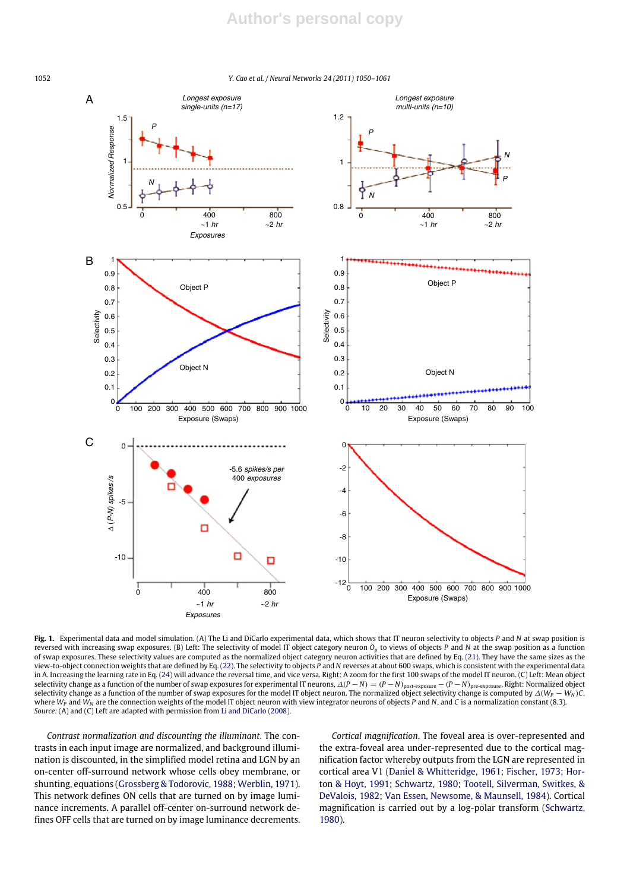1052 *Y. Cao et al. / Neural Networks 24 (2011) 1050–1061*



**Fig. 1.** Experimental data and model simulation. (A) The Li and DiCarlo experimental data, which shows that IT neuron selectivity to objects *P* and *N* at swap position is reversed with increasing swap exposures. (B) Left: The selectivity of model IT object category neuron *O<sup>p</sup>* to views of objects *P* and *N* at the swap position as a function of swap exposures. These selectivity values are computed as the normalized object category neuron activities that are defined by Eq. (21). They have the same sizes as the view-to-object connection weights that are defined by Eq. (22). The selectivity to objects *P* and *N* reverses at about 600 swaps, which is consistent with the experimental data in A. Increasing the learning rate in Eq. (24) will advance the reversal time, and vice versa. Right: A zoom for the first 100 swaps of the model IT neuron. (C) Left: Mean object selectivity change as a function of the number of swap exposures for experimental IT neurons,  $\Delta(P - N) = (P - N)_{\text{post-exposure}} - (P - N)_{\text{pre-exposure}}$ . Right: Normalized object selectivity change as a function of the number of swap exposures for the model IT object neuron. The normalized object selectivity change is computed by  $\Delta(W_P - W_N)C$ , where *W<sup>P</sup>* and *W<sup>N</sup>* are the connection weights of the model IT object neuron with view integrator neurons of objects *P* and *N*, and *C* is a normalization constant (8.3). *Source:* (A) and (C) Left are adapted with permission from Li and DiCarlo (2008).

*Contrast normalization and discounting the illuminant*. The contrasts in each input image are normalized, and background illumination is discounted, in the simplified model retina and LGN by an on-center off-surround network whose cells obey membrane, or shunting, equations (Grossberg & Todorovic, 1988; Werblin, 1971). This network defines ON cells that are turned on by image luminance increments. A parallel off-center on-surround network defines OFF cells that are turned on by image luminance decrements.

*Cortical magnification*. The foveal area is over-represented and the extra-foveal area under-represented due to the cortical magnification factor whereby outputs from the LGN are represented in cortical area V1 (Daniel & Whitteridge, 1961; Fischer, 1973; Horton & Hoyt, 1991; Schwartz, 1980; Tootell, Silverman, Switkes, & DeValois, 1982; Van Essen, Newsome, & Maunsell, 1984). Cortical magnification is carried out by a log-polar transform (Schwartz, 1980).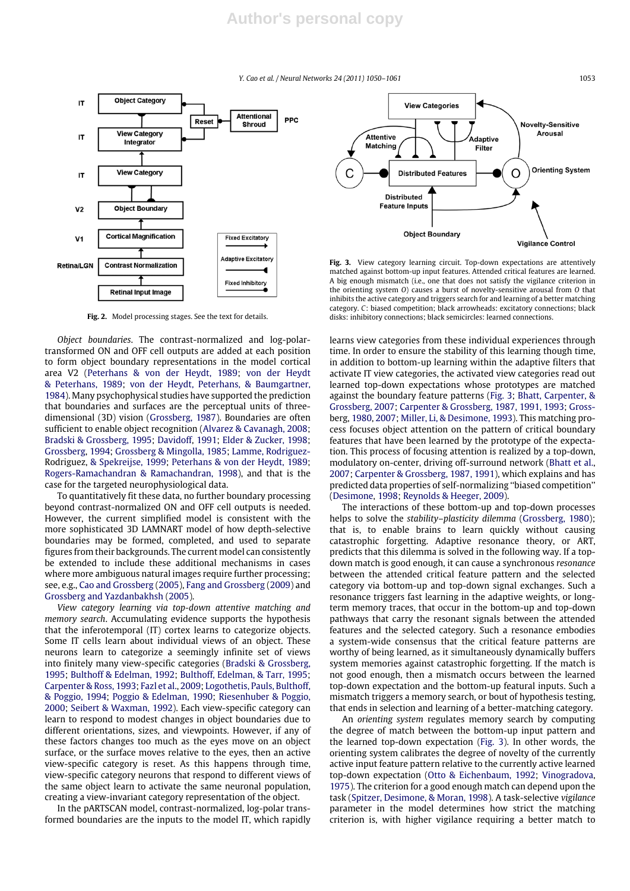*Y. Cao et al. / Neural Networks 24 (2011) 1050–1061* 1053



**Fig. 2.** Model processing stages. See the text for details.

*Object boundaries*. The contrast-normalized and log-polartransformed ON and OFF cell outputs are added at each position to form object boundary representations in the model cortical area V2 (Peterhans & von der Heydt, 1989; von der Heydt & Peterhans, 1989; von der Heydt, Peterhans, & Baumgartner, 1984). Many psychophysical studies have supported the prediction that boundaries and surfaces are the perceptual units of threedimensional (3D) vision (Grossberg, 1987). Boundaries are often sufficient to enable object recognition (Alvarez & Cavanagh, 2008; Bradski & Grossberg, 1995; Davidoff, 1991; Elder & Zucker, 1998; Grossberg, 1994; Grossberg & Mingolla, 1985; Lamme, Rodriguez-Rodriguez, & Spekreijse, 1999; Peterhans & von der Heydt, 1989; Rogers-Ramachandran & Ramachandran, 1998), and that is the case for the targeted neurophysiological data.

To quantitatively fit these data, no further boundary processing beyond contrast-normalized ON and OFF cell outputs is needed. However, the current simplified model is consistent with the more sophisticated 3D LAMNART model of how depth-selective boundaries may be formed, completed, and used to separate figures from their backgrounds. The current model can consistently be extended to include these additional mechanisms in cases where more ambiguous natural images require further processing; see, e.g., Cao and Grossberg (2005), Fang and Grossberg (2009) and Grossberg and Yazdanbakhsh (2005).

*View category learning via top-down attentive matching and memory search*. Accumulating evidence supports the hypothesis that the inferotemporal (IT) cortex learns to categorize objects. Some IT cells learn about individual views of an object. These neurons learn to categorize a seemingly infinite set of views into finitely many view-specific categories (Bradski & Grossberg, 1995; Bulthoff & Edelman, 1992; Bulthoff, Edelman, & Tarr, 1995; Carpenter&Ross, 1993; Fazl et al., 2009; Logothetis, Pauls, Bulthoff, & Poggio, 1994; Poggio & Edelman, 1990; Riesenhuber & Poggio, 2000; Seibert & Waxman, 1992). Each view-specific category can learn to respond to modest changes in object boundaries due to different orientations, sizes, and viewpoints. However, if any of these factors changes too much as the eyes move on an object surface, or the surface moves relative to the eyes, then an active view-specific category is reset. As this happens through time, view-specific category neurons that respond to different views of the same object learn to activate the same neuronal population, creating a view-invariant category representation of the object.

In the pARTSCAN model, contrast-normalized, log-polar transformed boundaries are the inputs to the model IT, which rapidly



Fig. 3. View category learning circuit. Top-down expectations are attentively matched against bottom-up input features. Attended critical features are learned. A big enough mismatch (i.e., one that does not satisfy the vigilance criterion in the orienting system *O*) causes a burst of novelty-sensitive arousal from *O* that inhibits the active category and triggers search for and learning of a better matching category. *C*: biased competition; black arrowheads: excitatory connections; black disks: inhibitory connections; black semicircles: learned connections.

learns view categories from these individual experiences through time. In order to ensure the stability of this learning though time, in addition to bottom-up learning within the adaptive filters that activate IT view categories, the activated view categories read out learned top-down expectations whose prototypes are matched against the boundary feature patterns (Fig. 3; Bhatt, Carpenter, & Grossberg, 2007; Carpenter & Grossberg, 1987, 1991, 1993; Grossberg, 1980, 2007; Miller, Li, & Desimone, 1993). This matching process focuses object attention on the pattern of critical boundary features that have been learned by the prototype of the expectation. This process of focusing attention is realized by a top-down, modulatory on-center, driving off-surround network (Bhatt et al., 2007; Carpenter & Grossberg, 1987, 1991), which explains and has predicted data properties of self-normalizing ''biased competition'' (Desimone, 1998; Reynolds & Heeger, 2009).

The interactions of these bottom-up and top-down processes helps to solve the *stability–plasticity dilemma* (Grossberg, 1980); that is, to enable brains to learn quickly without causing catastrophic forgetting. Adaptive resonance theory, or ART, predicts that this dilemma is solved in the following way. If a topdown match is good enough, it can cause a synchronous *resonance* between the attended critical feature pattern and the selected category via bottom-up and top-down signal exchanges. Such a resonance triggers fast learning in the adaptive weights, or longterm memory traces, that occur in the bottom-up and top-down pathways that carry the resonant signals between the attended features and the selected category. Such a resonance embodies a system-wide consensus that the critical feature patterns are worthy of being learned, as it simultaneously dynamically buffers system memories against catastrophic forgetting. If the match is not good enough, then a mismatch occurs between the learned top-down expectation and the bottom-up featural inputs. Such a mismatch triggers a memory search, or bout of hypothesis testing, that ends in selection and learning of a better-matching category.

An *orienting system* regulates memory search by computing the degree of match between the bottom-up input pattern and the learned top-down expectation (Fig. 3). In other words, the orienting system calibrates the degree of novelty of the currently active input feature pattern relative to the currently active learned top-down expectation (Otto & Eichenbaum, 1992; Vinogradova, 1975). The criterion for a good enough match can depend upon the task (Spitzer, Desimone, & Moran, 1998). A task-selective *vigilance* parameter in the model determines how strict the matching criterion is, with higher vigilance requiring a better match to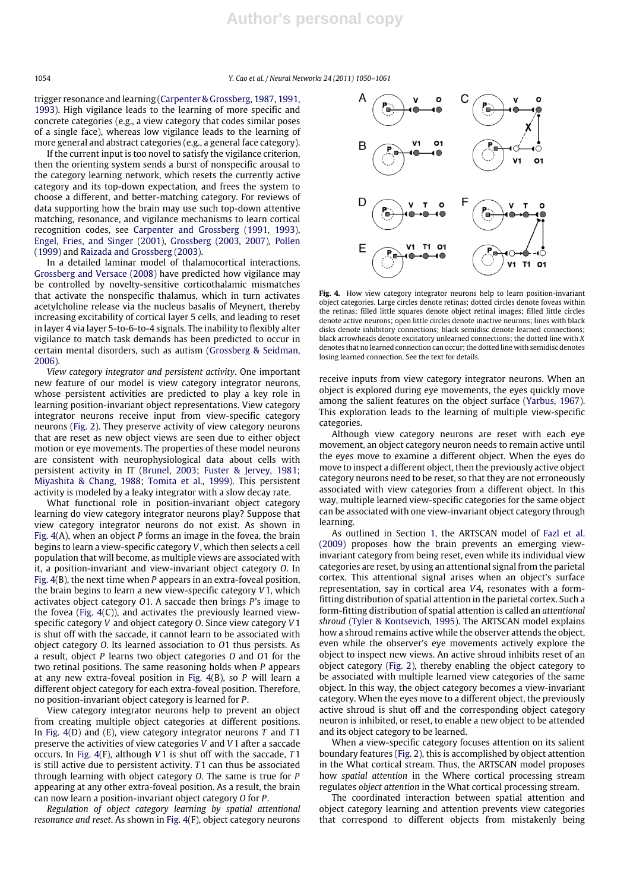trigger resonance and learning (Carpenter& Grossberg, 1987, 1991, 1993). High vigilance leads to the learning of more specific and concrete categories (e.g., a view category that codes similar poses of a single face), whereas low vigilance leads to the learning of more general and abstract categories (e.g., a general face category).

If the current input is too novel to satisfy the vigilance criterion, then the orienting system sends a burst of nonspecific arousal to the category learning network, which resets the currently active category and its top-down expectation, and frees the system to choose a different, and better-matching category. For reviews of data supporting how the brain may use such top-down attentive matching, resonance, and vigilance mechanisms to learn cortical recognition codes, see Carpenter and Grossberg (1991, 1993), Engel, Fries, and Singer (2001), Grossberg (2003, 2007), Pollen (1999) and Raizada and Grossberg (2003).

In a detailed laminar model of thalamocortical interactions, Grossberg and Versace (2008) have predicted how vigilance may be controlled by novelty-sensitive corticothalamic mismatches that activate the nonspecific thalamus, which in turn activates acetylcholine release via the nucleus basalis of Meynert, thereby increasing excitability of cortical layer 5 cells, and leading to reset in layer 4 via layer 5-to-6-to-4 signals. The inability to flexibly alter vigilance to match task demands has been predicted to occur in certain mental disorders, such as autism (Grossberg & Seidman, 2006).

*View category integrator and persistent activity*. One important new feature of our model is view category integrator neurons, whose persistent activities are predicted to play a key role in learning position-invariant object representations. View category integrator neurons receive input from view-specific category neurons (Fig. 2). They preserve activity of view category neurons that are reset as new object views are seen due to either object motion or eye movements. The properties of these model neurons are consistent with neurophysiological data about cells with persistent activity in IT (Brunel, 2003; Fuster & Jervey, 1981; Miyashita & Chang, 1988; Tomita et al., 1999). This persistent activity is modeled by a leaky integrator with a slow decay rate.

What functional role in position-invariant object category learning do view category integrator neurons play? Suppose that view category integrator neurons do not exist. As shown in Fig. 4(A), when an object *P* forms an image in the fovea, the brain begins to learn a view-specific category *V*, which then selects a cell population that will become, as multiple views are associated with it, a position-invariant and view-invariant object category *O*. In Fig. 4(B), the next time when *P* appears in an extra-foveal position, the brain begins to learn a new view-specific category *V*1, which activates object category *O*1. A saccade then brings *P*'s image to the fovea (Fig. 4(C)), and activates the previously learned viewspecific category *V* and object category *O*. Since view category *V*1 is shut off with the saccade, it cannot learn to be associated with object category *O*. Its learned association to *O*1 thus persists. As a result, object *P* learns two object categories *O* and *O*1 for the two retinal positions. The same reasoning holds when *P* appears at any new extra-foveal position in Fig. 4(B), so *P* will learn a different object category for each extra-foveal position. Therefore, no position-invariant object category is learned for *P*.

View category integrator neurons help to prevent an object from creating multiple object categories at different positions. In Fig. 4(D) and (E), view category integrator neurons *T* and *T*1 preserve the activities of view categories *V* and *V*1 after a saccade occurs. In Fig. 4(F), although *V*1 is shut off with the saccade, *T*1 is still active due to persistent activity. *T*1 can thus be associated through learning with object category *O*. The same is true for *P* appearing at any other extra-foveal position. As a result, the brain can now learn a position-invariant object category *O* for *P*.

*Regulation of object category learning by spatial attentional resonance and reset*. As shown in Fig. 4(F), object category neurons



**Fig. 4.** How view category integrator neurons help to learn position-invariant object categories. Large circles denote retinas; dotted circles denote foveas within the retinas; filled little squares denote object retinal images; filled little circles denote active neurons; open little circles denote inactive neurons; lines with black disks denote inhibitory connections; black semidisc denote learned connections; black arrowheads denote excitatory unlearned connections; the dotted line with *X* denotes that no learned connection can occur; the dotted line with semidisc denotes losing learned connection. See the text for details.

receive inputs from view category integrator neurons. When an object is explored during eye movements, the eyes quickly move among the salient features on the object surface (Yarbus, 1967). This exploration leads to the learning of multiple view-specific categories.

Although view category neurons are reset with each eye movement, an object category neuron needs to remain active until the eyes move to examine a different object. When the eyes do move to inspect a different object, then the previously active object category neurons need to be reset, so that they are not erroneously associated with view categories from a different object. In this way, multiple learned view-specific categories for the same object can be associated with one view-invariant object category through learning.

As outlined in Section 1, the ARTSCAN model of Fazl et al. (2009) proposes how the brain prevents an emerging viewinvariant category from being reset, even while its individual view categories are reset, by using an attentional signal from the parietal cortex. This attentional signal arises when an object's surface representation, say in cortical area *V*4, resonates with a formfitting distribution of spatial attention in the parietal cortex. Such a form-fitting distribution of spatial attention is called an *attentional shroud* (Tyler & Kontsevich, 1995). The ARTSCAN model explains how a shroud remains active while the observer attends the object, even while the observer's eye movements actively explore the object to inspect new views. An active shroud inhibits reset of an object category (Fig. 2), thereby enabling the object category to be associated with multiple learned view categories of the same object. In this way, the object category becomes a view-invariant category. When the eyes move to a different object, the previously active shroud is shut off and the corresponding object category neuron is inhibited, or reset, to enable a new object to be attended and its object category to be learned.

When a view-specific category focuses attention on its salient boundary features (Fig. 2), this is accomplished by object attention in the What cortical stream. Thus, the ARTSCAN model proposes how *spatial attention* in the Where cortical processing stream regulates *object attention* in the What cortical processing stream.

The coordinated interaction between spatial attention and object category learning and attention prevents view categories that correspond to different objects from mistakenly being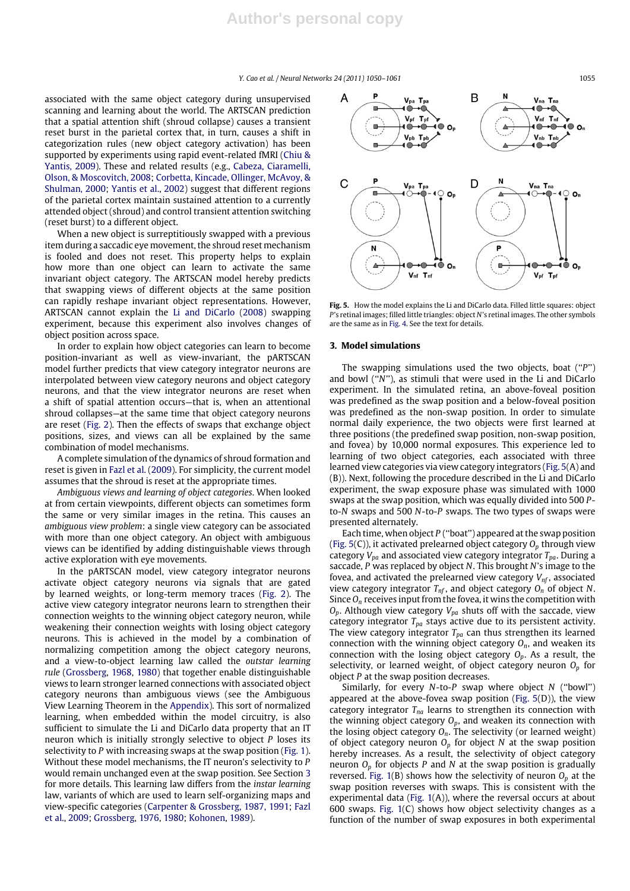associated with the same object category during unsupervised scanning and learning about the world. The ARTSCAN prediction that a spatial attention shift (shroud collapse) causes a transient reset burst in the parietal cortex that, in turn, causes a shift in categorization rules (new object category activation) has been supported by experiments using rapid event-related fMRI (Chiu & Yantis, 2009). These and related results (e.g., Cabeza, Ciaramelli, Olson, & Moscovitch, 2008; Corbetta, Kincade, Ollinger, McAvoy, & Shulman, 2000; Yantis et al., 2002) suggest that different regions of the parietal cortex maintain sustained attention to a currently attended object (shroud) and control transient attention switching (reset burst) to a different object.

When a new object is surreptitiously swapped with a previous item during a saccadic eye movement, the shroud reset mechanism is fooled and does not reset. This property helps to explain how more than one object can learn to activate the same invariant object category. The ARTSCAN model hereby predicts that swapping views of different objects at the same position can rapidly reshape invariant object representations. However, ARTSCAN cannot explain the Li and DiCarlo (2008) swapping experiment, because this experiment also involves changes of object position across space.

In order to explain how object categories can learn to become position-invariant as well as view-invariant, the pARTSCAN model further predicts that view category integrator neurons are interpolated between view category neurons and object category neurons, and that the view integrator neurons are reset when a shift of spatial attention occurs—that is, when an attentional shroud collapses—at the same time that object category neurons are reset (Fig. 2). Then the effects of swaps that exchange object positions, sizes, and views can all be explained by the same combination of model mechanisms.

A complete simulation of the dynamics of shroud formation and reset is given in Fazl et al. (2009). For simplicity, the current model assumes that the shroud is reset at the appropriate times.

*Ambiguous views and learning of object categories*. When looked at from certain viewpoints, different objects can sometimes form the same or very similar images in the retina. This causes an *ambiguous view problem*: a single view category can be associated with more than one object category. An object with ambiguous views can be identified by adding distinguishable views through active exploration with eye movements.

In the pARTSCAN model, view category integrator neurons activate object category neurons via signals that are gated by learned weights, or long-term memory traces (Fig. 2). The active view category integrator neurons learn to strengthen their connection weights to the winning object category neuron, while weakening their connection weights with losing object category neurons. This is achieved in the model by a combination of normalizing competition among the object category neurons, and a view-to-object learning law called the *outstar learning rule* (Grossberg, 1968, 1980) that together enable distinguishable views to learn stronger learned connections with associated object category neurons than ambiguous views (see the Ambiguous View Learning Theorem in the Appendix). This sort of normalized learning, when embedded within the model circuitry, is also sufficient to simulate the Li and DiCarlo data property that an IT neuron which is initially strongly selective to object *P* loses its selectivity to *P* with increasing swaps at the swap position (Fig. 1). Without these model mechanisms, the IT neuron's selectivity to *P* would remain unchanged even at the swap position. See Section 3 for more details. This learning law differs from the *instar learning* law, variants of which are used to learn self-organizing maps and view-specific categories (Carpenter & Grossberg, 1987, 1991; Fazl et al., 2009; Grossberg, 1976, 1980; Kohonen, 1989).



N

**Fig. 5.** How the model explains the Li and DiCarlo data. Filled little squares: object *P*'s retinal images; filled little triangles: object *N*'s retinal images. The other symbols are the same as in Fig. 4. See the text for details.

#### **3. Model simulations**

The swapping simulations used the two objects, boat (''*P*'') and bowl (''*N*''), as stimuli that were used in the Li and DiCarlo experiment. In the simulated retina, an above-foveal position was predefined as the swap position and a below-foveal position was predefined as the non-swap position. In order to simulate normal daily experience, the two objects were first learned at three positions (the predefined swap position, non-swap position, and fovea) by 10,000 normal exposures. This experience led to learning of two object categories, each associated with three learned view categories via view category integrators (Fig. 5(A) and (B)). Next, following the procedure described in the Li and DiCarlo experiment, the swap exposure phase was simulated with 1000 swaps at the swap position, which was equally divided into 500 *P*to-*N* swaps and 500 *N*-to-*P* swaps. The two types of swaps were presented alternately.

Each time, when object *P* (''boat'') appeared at the swap position (Fig. 5(C)), it activated prelearned object category *O<sup>p</sup>* through view category *Vpa* and associated view category integrator *Tpa*. During a saccade, *P* was replaced by object *N*. This brought *N*'s image to the fovea, and activated the prelearned view category *Vnf* , associated view category integrator  $T_{nf}$ , and object category  $O_n$  of object N. Since*O<sup>n</sup>* receives input from the fovea, it wins the competition with  $O_p$ . Although view category  $V_{pa}$  shuts off with the saccade, view category integrator *Tpa* stays active due to its persistent activity. The view category integrator  $T_{pa}$  can thus strengthen its learned connection with the winning object category *On*, and weaken its connection with the losing object category *Op*. As a result, the selectivity, or learned weight, of object category neuron  $O_p$  for object *P* at the swap position decreases.

Similarly, for every *N*-to-*P* swap where object *N* (''bowl'') appeared at the above-fovea swap position (Fig. 5(D)), the view category integrator *Tna* learns to strengthen its connection with the winning object category *Op*, and weaken its connection with the losing object category  $O_n$ . The selectivity (or learned weight) of object category neuron  $O_p$  for object  $N$  at the swap position hereby increases. As a result, the selectivity of object category neuron *O<sup>p</sup>* for objects *P* and *N* at the swap position is gradually reversed. Fig. 1(B) shows how the selectivity of neuron  $O_p$  at the swap position reverses with swaps. This is consistent with the experimental data (Fig.  $1(A)$ ), where the reversal occurs at about 600 swaps. Fig. 1(C) shows how object selectivity changes as a function of the number of swap exposures in both experimental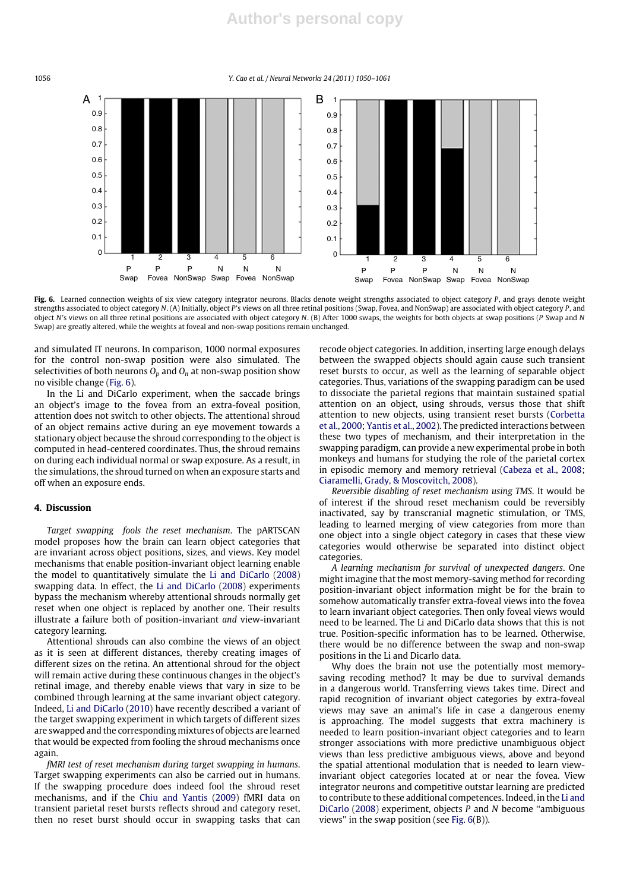1056 *Y. Cao et al. / Neural Networks 24 (2011) 1050–1061*



**Fig. 6.** Learned connection weights of six view category integrator neurons. Blacks denote weight strengths associated to object category *P*, and grays denote weight strengths associated to object category *N*. (A) Initially, object *P*'s views on all three retinal positions (Swap, Fovea, and NonSwap) are associated with object category *P*, and object *N*'s views on all three retinal positions are associated with object category *N*. (B) After 1000 swaps, the weights for both objects at swap positions (*P* Swap and *N* Swap) are greatly altered, while the weights at foveal and non-swap positions remain unchanged.

and simulated IT neurons. In comparison, 1000 normal exposures for the control non-swap position were also simulated. The selectivities of both neurons  $O_p$  and  $O_n$  at non-swap position show no visible change (Fig. 6).

In the Li and DiCarlo experiment, when the saccade brings an object's image to the fovea from an extra-foveal position, attention does not switch to other objects. The attentional shroud of an object remains active during an eye movement towards a stationary object because the shroud corresponding to the object is computed in head-centered coordinates. Thus, the shroud remains on during each individual normal or swap exposure. As a result, in the simulations, the shroud turned on when an exposure starts and off when an exposure ends.

## **4. Discussion**

*Target swapping fools the reset mechanism*. The pARTSCAN model proposes how the brain can learn object categories that are invariant across object positions, sizes, and views. Key model mechanisms that enable position-invariant object learning enable the model to quantitatively simulate the Li and DiCarlo (2008) swapping data. In effect, the Li and DiCarlo (2008) experiments bypass the mechanism whereby attentional shrouds normally get reset when one object is replaced by another one. Their results illustrate a failure both of position-invariant *and* view-invariant category learning.

Attentional shrouds can also combine the views of an object as it is seen at different distances, thereby creating images of different sizes on the retina. An attentional shroud for the object will remain active during these continuous changes in the object's retinal image, and thereby enable views that vary in size to be combined through learning at the same invariant object category. Indeed, Li and DiCarlo (2010) have recently described a variant of the target swapping experiment in which targets of different sizes are swapped and the corresponding mixtures of objects are learned that would be expected from fooling the shroud mechanisms once again.

*fMRI test of reset mechanism during target swapping in humans*. Target swapping experiments can also be carried out in humans. If the swapping procedure does indeed fool the shroud reset mechanisms, and if the Chiu and Yantis (2009) fMRI data on transient parietal reset bursts reflects shroud and category reset, then no reset burst should occur in swapping tasks that can

recode object categories. In addition, inserting large enough delays between the swapped objects should again cause such transient reset bursts to occur, as well as the learning of separable object categories. Thus, variations of the swapping paradigm can be used to dissociate the parietal regions that maintain sustained spatial attention on an object, using shrouds, versus those that shift attention to new objects, using transient reset bursts (Corbetta et al., 2000; Yantis et al., 2002). The predicted interactions between these two types of mechanism, and their interpretation in the swapping paradigm, can provide a new experimental probe in both monkeys and humans for studying the role of the parietal cortex in episodic memory and memory retrieval (Cabeza et al., 2008; Ciaramelli, Grady, & Moscovitch, 2008).

*Reversible disabling of reset mechanism using TMS*. It would be of interest if the shroud reset mechanism could be reversibly inactivated, say by transcranial magnetic stimulation, or TMS, leading to learned merging of view categories from more than one object into a single object category in cases that these view categories would otherwise be separated into distinct object categories.

*A learning mechanism for survival of unexpected dangers*. One might imagine that the most memory-saving method for recording position-invariant object information might be for the brain to somehow automatically transfer extra-foveal views into the fovea to learn invariant object categories. Then only foveal views would need to be learned. The Li and DiCarlo data shows that this is not true. Position-specific information has to be learned. Otherwise, there would be no difference between the swap and non-swap positions in the Li and Dicarlo data.

Why does the brain not use the potentially most memorysaving recoding method? It may be due to survival demands in a dangerous world. Transferring views takes time. Direct and rapid recognition of invariant object categories by extra-foveal views may save an animal's life in case a dangerous enemy is approaching. The model suggests that extra machinery is needed to learn position-invariant object categories and to learn stronger associations with more predictive unambiguous object views than less predictive ambiguous views, above and beyond the spatial attentional modulation that is needed to learn viewinvariant object categories located at or near the fovea. View integrator neurons and competitive outstar learning are predicted to contribute to these additional competences. Indeed, in the Li and DiCarlo (2008) experiment, objects *P* and *N* become ''ambiguous views'' in the swap position (see Fig. 6(B)).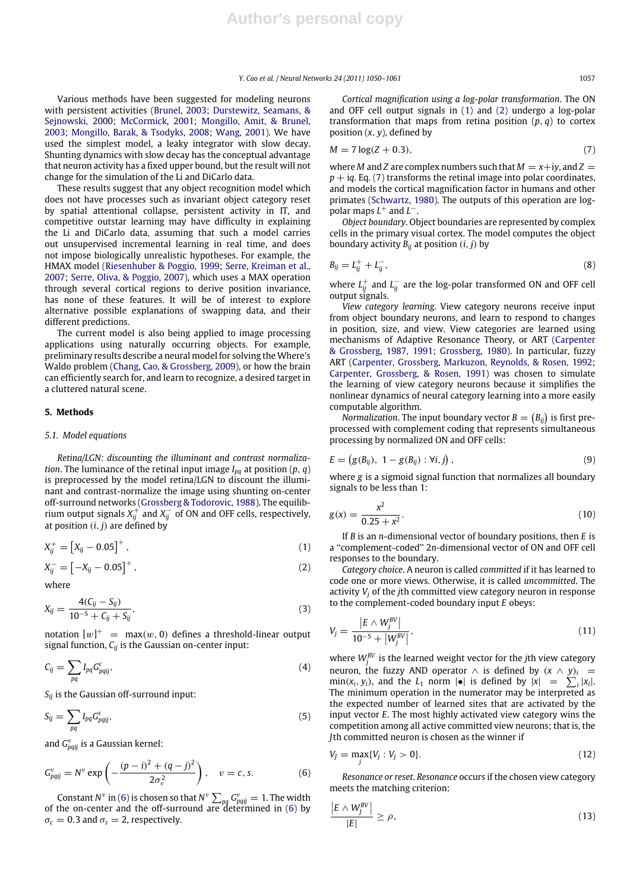Various methods have been suggested for modeling neurons with persistent activities (Brunel, 2003; Durstewitz, Seamans, & Sejnowski, 2000; McCormick, 2001; Mongillo, Amit, & Brunel, 2003; Mongillo, Barak, & Tsodyks, 2008; Wang, 2001). We have used the simplest model, a leaky integrator with slow decay. Shunting dynamics with slow decay has the conceptual advantage that neuron activity has a fixed upper bound, but the result will not change for the simulation of the Li and DiCarlo data.

These results suggest that any object recognition model which does not have processes such as invariant object category reset by spatial attentional collapse, persistent activity in IT, and competitive outstar learning may have difficulty in explaining the Li and DiCarlo data, assuming that such a model carries out unsupervised incremental learning in real time, and does not impose biologically unrealistic hypotheses. For example, the HMAX model (Riesenhuber & Poggio, 1999; Serre, Kreiman et al., 2007; Serre, Oliva, & Poggio, 2007), which uses a MAX operation through several cortical regions to derive position invariance, has none of these features. It will be of interest to explore alternative possible explanations of swapping data, and their different predictions.

The current model is also being applied to image processing applications using naturally occurring objects. For example, preliminary results describe a neural model for solving the Where's Waldo problem (Chang, Cao, & Grossberg, 2009), or how the brain can efficiently search for, and learn to recognize, a desired target in a cluttered natural scene.

## **5. Methods**

#### *5.1. Model equations*

*Retina/LGN: discounting the illuminant and contrast normalization*. The luminance of the retinal input image  $I_{pq}$  at position  $(p, q)$ is preprocessed by the model retina/LGN to discount the illuminant and contrast-normalize the image using shunting on-center off-surround networks (Grossberg & Todorovic, 1988). The equilibrium output signals  $X^{\pm}_{ij}$  and  $X^-_{ij}$  of ON and OFF cells, respectively, at position  $(i, j)$  are defined by

$$
X_{ij}^{+} = [X_{ij} - 0.05]^{+}, \qquad (1)
$$

$$
X_{ij}^- = [-X_{ij} - 0.05]^+, \qquad (2)
$$

where

$$
X_{ij} = \frac{4(C_{ij} - S_{ij})}{10^{-5} + C_{ij} + S_{ij}},
$$
\n(3)

notation  $[w]^+$  = max $(w, 0)$  defines a threshold-linear output signal function, *Cij* is the Gaussian on-center input:

$$
C_{ij} = \sum_{pq} I_{pq} G_{pqij}^c, \qquad (4)
$$

*Sij* is the Gaussian off-surround input:

$$
S_{ij} = \sum_{pq} I_{pq} G_{pqij}^s,\tag{5}
$$

and *G* v *pqij* is a Gaussian kernel:

$$
G_{pqij}^v = N^v \exp\left(-\frac{(p-i)^2 + (q-j)^2}{2\sigma_v^2}\right), \quad v = c, s. \tag{6}
$$

Constant *N*<sup>v</sup> in (6) is chosen so that  $N^v\sum_{pq} G^v_{pqij} = 1$ . The width of the on-center and the off-surround are determined in (6) by  $\sigma_c = 0.3$  and  $\sigma_s = 2$ , respectively.

*Cortical magnification using a log-polar transformation*. The ON and OFF cell output signals in (1) and (2) undergo a log-polar transformation that maps from retina position  $(p, q)$  to cortex position (*x*, *y*), defined by

$$
M = 7\log(Z + 0.3),\tag{7}
$$

where *M* and *Z* are complex numbers such that  $M = x+iy$ , and  $Z =$  $p + iq$ . Eq. (7) transforms the retinal image into polar coordinates, and models the cortical magnification factor in humans and other primates (Schwartz, 1980). The outputs of this operation are logpolar maps *L* <sup>+</sup> and *L* −.

*Object boundary*. Object boundaries are represented by complex cells in the primary visual cortex. The model computes the object boundary activity  $B_{ij}$  at position  $(i, j)$  by

$$
B_{ij} = L_{ij}^{+} + L_{ij}^{-}, \tag{8}
$$

where  $L_{ij}^+$  and  $L_{ij}^-$  are the log-polar transformed ON and OFF cell output signals.

*View category learning*. View category neurons receive input from object boundary neurons, and learn to respond to changes in position, size, and view. View categories are learned using mechanisms of Adaptive Resonance Theory, or ART (Carpenter & Grossberg, 1987, 1991; Grossberg, 1980). In particular, fuzzy ART (Carpenter, Grossberg, Markuzon, Reynolds, & Rosen, 1992; Carpenter, Grossberg, & Rosen, 1991) was chosen to simulate the learning of view category neurons because it simplifies the nonlinear dynamics of neural category learning into a more easily computable algorithm.

*Normalization.* The input boundary vector  $B = (B_{ij})$  is first preprocessed with complement coding that represents simultaneous processing by normalized ON and OFF cells:

$$
E = (g(B_{ij}), \ 1 - g(B_{ij}): \forall i, j), \qquad (9)
$$

where *g* is a sigmoid signal function that normalizes all boundary signals to be less than 1:

$$
g(x) = \frac{x^2}{0.25 + x^2}.
$$
\n(10)

If *B* is an *n*-dimensional vector of boundary positions, then *E* is a ''complement-coded'' 2*n*-dimensional vector of ON and OFF cell responses to the boundary.

*Category choice*. A neuron is called *committed* if it has learned to code one or more views. Otherwise, it is called *uncommitted*. The activity *V<sup>j</sup>* of the *j*th committed view category neuron in response to the complement-coded boundary input *E* obeys:

$$
V_j = \frac{|E \wedge W_j^{BV}|}{10^{-5} + |W_j^{BV}|},\tag{11}
$$

where  $W_j^{BV}$  is the learned weight vector for the *j*th view category neuron, the fuzzy AND operator  $\wedge$  is defined by  $(x \wedge y)_i$  =  $\min(x_i, y_i)$ , and the  $L_1$  norm  $|\bullet|$  is defined by  $|x| = \sum_i |x_i|$ . The minimum operation in the numerator may be interpreted as the expected number of learned sites that are activated by the input vector *E*. The most highly activated view category wins the competition among all active committed view neurons; that is, the *J*th committed neuron is chosen as the winner if

$$
V_j = \max_j \{ V_j : V_j > 0 \}. \tag{12}
$$

*Resonance or reset*. *Resonance* occurs if the chosen view category meets the matching criterion:

$$
\frac{\left|E \wedge W_j^{BV}\right|}{|E|} \ge \rho,\tag{13}
$$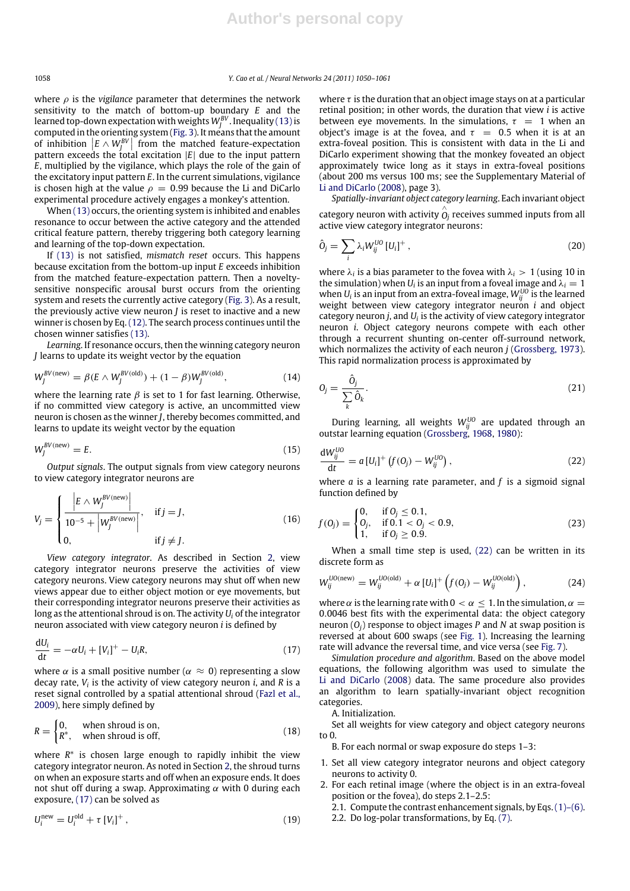where  $\rho$  is the *vigilance* parameter that determines the network sensitivity to the match of bottom-up boundary *E* and the learned top-down expectation with weights  $W_{J}^{BV}$  . Inequality ( 13) is computed in the orienting system (Fig. 3). It means that the amount of inhibition  $\left| E \wedge W^{BV}_J \right|$  from the matched feature-expectation pattern exceeds the total excitation |*E*| due to the input pattern *E*, multiplied by the vigilance, which plays the role of the gain of the excitatory input pattern *E*. In the current simulations, vigilance is chosen high at the value  $\rho = 0.99$  because the Li and DiCarlo experimental procedure actively engages a monkey's attention.

When (13) occurs, the orienting system is inhibited and enables resonance to occur between the active category and the attended critical feature pattern, thereby triggering both category learning and learning of the top-down expectation.

If (13) is not satisfied, *mismatch reset* occurs. This happens because excitation from the bottom-up input *E* exceeds inhibition from the matched feature-expectation pattern. Then a noveltysensitive nonspecific arousal burst occurs from the orienting system and resets the currently active category (Fig. 3). As a result, the previously active view neuron *J* is reset to inactive and a new winner is chosen by Eq.(12). The search process continues until the chosen winner satisfies (13).

*Learning*. If resonance occurs, then the winning category neuron *J* learns to update its weight vector by the equation

$$
W_J^{BV(new)} = \beta (E \wedge W_J^{BV(old)}) + (1 - \beta) W_J^{BV(old)},
$$
\n(14)

where the learning rate  $\beta$  is set to 1 for fast learning. Otherwise, if no committed view category is active, an uncommitted view neuron is chosen as the winner *J*, thereby becomes committed, and learns to update its weight vector by the equation

$$
W_J^{BV(new)} = E.
$$
\n(15)

*Output signals*. The output signals from view category neurons to view category integrator neurons are

$$
V_j = \begin{cases} \frac{\left| E \wedge W_j^{BV(new)} \right|}{10^{-5} + \left| W_j^{BV(new)} \right|}, & \text{if } j = J, \\ 0, & \text{if } j \neq J. \end{cases} \tag{16}
$$

*View category integrator*. As described in Section 2, view category integrator neurons preserve the activities of view category neurons. View category neurons may shut off when new views appear due to either object motion or eye movements, but their corresponding integrator neurons preserve their activities as long as the attentional shroud is on. The activity *U<sup>i</sup>* of the integrator neuron associated with view category neuron *i* is defined by

$$
\frac{\mathrm{d}U_i}{\mathrm{d}t} = -\alpha U_i + [V_i]^+ - U_i R,\tag{17}
$$

where  $\alpha$  is a small positive number ( $\alpha \approx 0$ ) representing a slow decay rate, *V<sup>i</sup>* is the activity of view category neuron *i*, and *R* is a reset signal controlled by a spatial attentional shroud (Fazl et al., 2009), here simply defined by

$$
R = \begin{cases} 0, & \text{when shroud is on,} \\ R^*, & \text{when shroud is off,} \end{cases} \tag{18}
$$

where  $R^*$  is chosen large enough to rapidly inhibit the view category integrator neuron. As noted in Section 2, the shroud turns on when an exposure starts and off when an exposure ends. It does not shut off during a swap. Approximating  $\alpha$  with 0 during each exposure, (17) can be solved as

$$
U_i^{\text{new}} = U_i^{\text{old}} + \tau \left[ V_i \right]^+, \tag{19}
$$

where  $\tau$  is the duration that an object image stays on at a particular retinal position; in other words, the duration that view *i* is active between eye movements. In the simulations,  $\tau = 1$  when an object's image is at the fovea, and  $\tau = 0.5$  when it is at an extra-foveal position. This is consistent with data in the Li and DiCarlo experiment showing that the monkey foveated an object approximately twice long as it stays in extra-foveal positions (about 200 ms versus 100 ms; see the Supplementary Material of Li and DiCarlo (2008), page 3).

*Spatially-invariant object category learning*. Each invariant object category neuron with activity  $\hat{O}_j$  receives summed inputs from all active view category integrator neurons:

$$
\hat{O}_j = \sum_i \lambda_i W_{ij}^{UO} \left[ U_i \right]^+, \tag{20}
$$

where  $\lambda_i$  is a bias parameter to the fovea with  $\lambda_i > 1$  (using 10 in the simulation) when  $U_i$  is an input from a foveal image and  $\lambda_i = 1$ when  $U_i$  is an input from an extra-foveal image,  $W_{ij}^{UO}$  is the learned weight between view category integrator neuron *i* and object category neuron *j*, and *U<sup>i</sup>* is the activity of view category integrator neuron *i*. Object category neurons compete with each other through a recurrent shunting on-center off-surround network, which normalizes the activity of each neuron *j* (Grossberg, 1973). This rapid normalization process is approximated by

$$
O_j = \frac{\hat{O}_j}{\sum_k \hat{O}_k}.\tag{21}
$$

During learning, all weights  $W_{ij}^{UO}$  are updated through an outstar learning equation (Grossberg, 1968, 1980):

$$
\frac{dW_{ij}^{UO}}{dt} = a [U_i]^{+} (f(O_j) - W_{ij}^{UO}), \qquad (22)
$$

where *a* is a learning rate parameter, and *f* is a sigmoid signal function defined by

$$
f(0_j) = \begin{cases} 0, & \text{if } 0_j \le 0.1, \\ 0_j, & \text{if } 0.1 < 0_j < 0.9, \\ 1, & \text{if } 0_j \ge 0.9. \end{cases}
$$
 (23)

When a small time step is used, (22) can be written in its discrete form as

$$
W_{ij}^{UO(new)} = W_{ij}^{UO(old)} + \alpha [U_i]^+ \left( f(O_j) - W_{ij}^{UO(old)} \right), \qquad (24)
$$

where  $\alpha$  is the learning rate with  $0 < \alpha < 1$ . In the simulation,  $\alpha =$ 0.0046 best fits with the experimental data: the object category neuron (*Oj*) response to object images *P* and *N* at swap position is reversed at about 600 swaps (see Fig. 1). Increasing the learning rate will advance the reversal time, and vice versa (see Fig. 7).

*Simulation procedure and algorithm*. Based on the above model equations, the following algorithm was used to simulate the Li and DiCarlo (2008) data. The same procedure also provides an algorithm to learn spatially-invariant object recognition categories.

A. Initialization.

Set all weights for view category and object category neurons to 0.

B. For each normal or swap exposure do steps 1–3:

- 1. Set all view category integrator neurons and object category neurons to activity 0.
- 2. For each retinal image (where the object is in an extra-foveal position or the fovea), do steps 2.1–2.5:
	- 2.1. Compute the contrast enhancement signals, by Eqs.(1)–(6).
	- 2.2. Do log-polar transformations, by Eq. (7).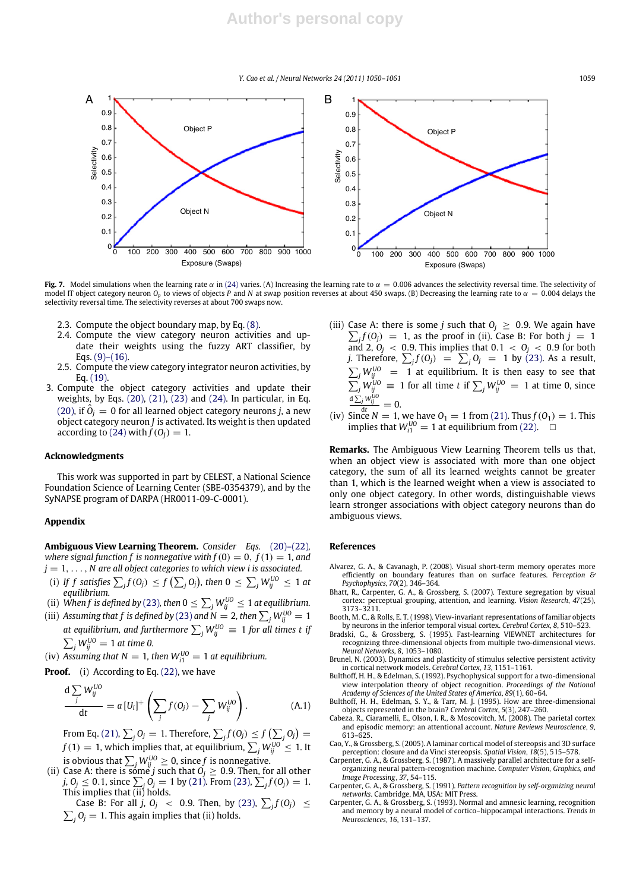*Y. Cao et al. / Neural Networks 24 (2011) 1050–1061* 1059



**Fig. 7.** Model simulations when the learning rate  $\alpha$  in (24) varies. (A) Increasing the learning rate to  $\alpha = 0.006$  advances the selectivity reversal time. The selectivity of model IT object category neuron *O<sub>p</sub>* to views of objects *P* and *N* at swap position reverses at about 450 swaps. (B) Decreasing the learning rate to α = 0.004 delays the selectivity reversal time. The selectivity reverses at about 700 swaps now.

- 2.3. Compute the object boundary map, by Eq. (8).
- 2.4. Compute the view category neuron activities and update their weights using the fuzzy ART classifier, by Eqs.  $(9)$ – $(16)$ .
- 2.5. Compute the view category integrator neuron activities, by Eq. (19).
- 3. Compute the object category activities and update their weights, by Eqs. (20), (21), (23) and (24). In particular, in Eq. (20), if  $\hat{O}_j = 0$  for all learned object category neurons *j*, a new object category neuron *J* is activated. Its weight is then updated according to (24) with  $f(0) = 1$ .

## **Acknowledgments**

This work was supported in part by CELEST, a National Science Foundation Science of Learning Center (SBE-0354379), and by the SyNAPSE program of DARPA (HR0011-09-C-0001).

#### **Appendix**

**Ambiguous View Learning Theorem.** *Consider Eqs.* (20)–(22)*, where signal function f is nonnegative with*  $f(0) = 0$ ,  $f(1) = 1$ , and *j* = 1, . . . , *N are all object categories to which view i is associated.*

- (i) *If f satisfies*  $\sum_j f(O_j) \leq f\left(\sum_j O_j\right)$ , then 0 ≤  $\sum_j W_{ij}^{UO} \leq 1$  at *equilibrium.*
- (ii) When  $f$  is defined by (23), then  $0 \leq \sum_j W^{U0}_{ij} \leq 1$  at equilibrium.
- (iii) Assuming that  $f$  is defined by (23) and  $N=$  2, then  $\sum_j W_{ij}^{UO}=1$ at equilibrium, and furthermore  $\sum_{j} W_{ij}^{\mathrm{U0}} \, \equiv \, 1$  for all times t if  $\sum_j W_{ij}^{UO} = 1$  at time 0.
- (iv) Assuming that  $N = 1$ , then  $W_{i1}^{U0} = 1$  at equilibrium.
- **Proof.** (i) According to Eq. (22), we have

$$
\frac{d \sum_{j} W_{ij}^{UO}}{dt} = a [U_i]^+ \left( \sum_{j} f(O_j) - \sum_{j} W_{ij}^{UO} \right). \tag{A.1}
$$

From Eq. (21),  $\sum_j O_j = 1$ . Therefore,  $\sum_j f(O_j) \leq f\left(\sum_j O_j\right) =$  $f(1) = 1$ , which implies that, at equilibrium,  $\sum_j W^{U0}_{ij} \leq 1$ . It is obvious that  $\sum_j W^{UO}_{ij} \geq 0$ , since *f* is nonnegative.

- (ii) Case A: there is some *j* such that  $O_j \geq 0.9$ . Then, for all other  $j$ ,  $O_j \leq 0.1$ , since  $\sum_j O_j = 1$  by (21). From (23),  $\sum_j f(O_j) = 1$ . This implies that (ii) holds.
	- Case B: For all  $j$ ,  $O_j$  < 0.9. Then, by (23),  $\sum_j f(O_j) \leq$  $\sum_{i} O_{i} = 1$ . This again implies that (ii) holds.
- (iii) Case A: there is some *j* such that  $O_j \geq 0.9$ . We again have  $\sum_{j} f(O_j)$  = 1, as the proof in (ii). Case B: For both  $j = 1$ and 2,  $O_j \, < \, 0.9$ . This implies that  $0.1 \, < \, O_j \, < \, 0.9$  for both *j*. Therefore,  $\sum_j f(O_j)$  =  $\sum_j O_j$  = 1 by (23). As a result,  $\sum_j W_{ij}^{UO}$  = 1 at equilibrium. It is then easy to see that  $\sum_j W^{UO}_{ij}$  ≡ 1 for all time *t* if  $\sum_j W^{UO}_{ij}$  = 1 at time 0, since  $\frac{d \sum_j W^{UO}_{ij}}{dt} = 0.$
- (iv)  $\frac{dV}{dV} = 0$ .<br>(iv) Since *N* = 1, we have *O*<sub>1</sub> = 1 from (21). Thus *f*(*O*<sub>1</sub>) = 1. This implies that  $W_{i1}^{UO} = 1$  at equilibrium from (22).  $\Box$

**Remarks.** The Ambiguous View Learning Theorem tells us that, when an object view is associated with more than one object category, the sum of all its learned weights cannot be greater than 1, which is the learned weight when a view is associated to only one object category. In other words, distinguishable views learn stronger associations with object category neurons than do ambiguous views.

## **References**

- Alvarez, G. A., & Cavanagh, P. (2008). Visual short-term memory operates more efficiently on boundary features than on surface features. *Perception & Psychophysics*, *70*(2), 346–364. Bhatt, R., Carpenter, G. A., & Grossberg, S. (2007). Texture segregation by visual
- cortex: perceptual grouping, attention, and learning. *Vision Research*, *47*(25), 3173–3211.
- Booth, M. C., & Rolls, E. T. (1998). View-invariant representations of familiar objects by neurons in the inferior temporal visual cortex. *Cerebral Cortex*, *8*, 510–523.
- Bradski, G., & Grossberg, S. (1995). Fast-learning VIEWNET architectures for recognizing three-dimensional objects from multiple two-dimensional views. *Neural Networks*, *8*, 1053–1080.
- Brunel, N. (2003). Dynamics and plasticity of stimulus selective persistent activity in cortical network models. *Cerebral Cortex*, *13*, 1151–1161.
- Bulthoff, H. H., & Edelman, S. (1992). Psychophysical support for a two-dimensional view interpolation theory of object recognition. *Proceedings of the National Academy of Sciences of the United States of America*, *89*(1), 60–64.
- Bulthoff, H. H., Edelman, S. Y., & Tarr, M. J. (1995). How are three-dimensional objects represented in the brain? *Cerebral Cortex*, *5*(3), 247–260.
- Cabeza, R., Ciaramelli, E., Olson, I. R., & Moscovitch, M. (2008). The parietal cortex and episodic memory: an attentional account. *Nature Reviews Neuroscience*, *9*, 613–625.
- Cao, Y., & Grossberg, S. (2005). A laminar cortical model of stereopsis and 3D surface perception: closure and da Vinci stereopsis. *Spatial Vision*, *18*(5), 515–578.
- Carpenter, G. A., & Grossberg, S. (1987). A massively parallel architecture for a selforganizing neural pattern-recognition machine. *Computer Vision, Graphics, and Image Processing*, *37*, 54–115.
- Carpenter, G. A., & Grossberg, S. (1991). *Pattern recognition by self-organizing neural networks*. Cambridge, MA, USA: MIT Press.
- Carpenter, G. A., & Grossberg, S. (1993). Normal and amnesic learning, recognition and memory by a neural model of cortico–hippocampal interactions. *Trends in Neurosciences*, *16*, 131–137.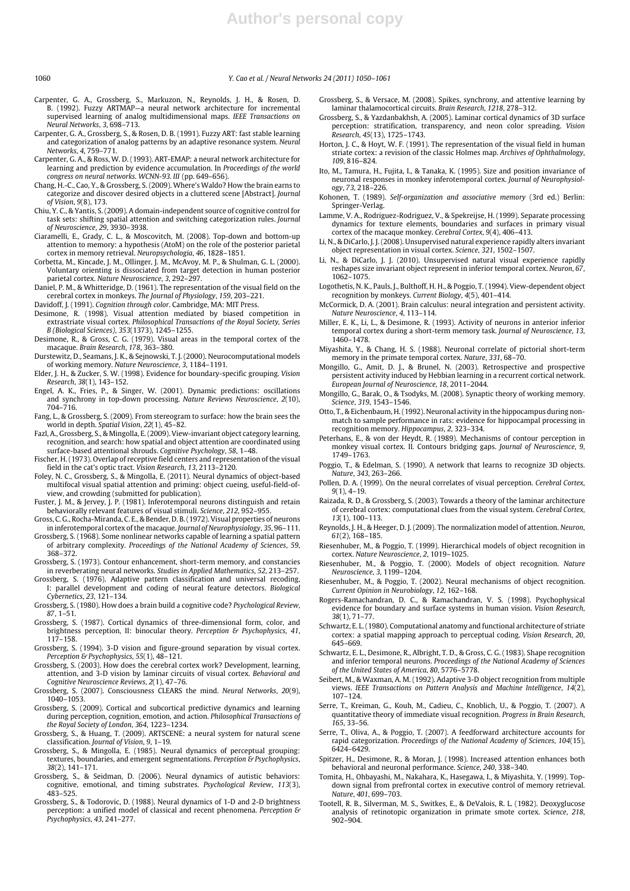## **Author's personal copy**

## 1060 *Y. Cao et al. / Neural Networks 24 (2011) 1050–1061*

- Carpenter, G. A., Grossberg, S., Markuzon, N., Reynolds, J. H., & Rosen, D. B. (1992). Fuzzy ARTMAP—a neural network architecture for incremental supervised learning of analog multidimensional maps. *IEEE Transactions on Neural Networks*, *3*, 698–713.
- Carpenter, G. A., Grossberg, S., & Rosen, D. B. (1991). Fuzzy ART: fast stable learning and categorization of analog patterns by an adaptive resonance system. *Neural Networks*, *4*, 759–771.
- Carpenter, G. A., & Ross, W. D. (1993). ART-EMAP: a neural network architecture for learning and prediction by evidence accumulation. In *Proceedings of the world congress on neural networks. WCNN-93. III* (pp. 649–656).
- Chang, H.-C., Cao, Y., & Grossberg, S. (2009). Where's Waldo? How the brain earns to categorize and discover desired objects in a cluttered scene [Abstract]. *Journal of Vision*, *9*(8), 173.
- Chiu, Y. C., & Yantis, S. (2009). A domain-independent source of cognitive control for task sets: shifting spatial attention and switching categorization rules. *Journal of Neuroscience*, *29*, 3930–3938.
- Ciaramelli, E., Grady, C. L., & Moscovitch, M. (2008). Top-down and bottom-up attention to memory: a hypothesis (AtoM) on the role of the posterior parietal cortex in memory retrieval. *Neuropsychologia*, *46*, 1828–1851.
- Corbetta, M., Kincade, J. M., Ollinger, J. M., McAvoy, M. P., & Shulman, G. L. (2000). Voluntary orienting is dissociated from target detection in human posterior parietal cortex. *Nature Neuroscience*, *3*, 292–297.
- Daniel, P. M., & Whitteridge, D. (1961). The representation of the visual field on the cerebral cortex in monkeys. *The Journal of Physiology*, *159*, 203–221.
- Davidoff, J. (1991). *Cognition through color*. Cambridge, MA: MIT Press.
- Desimone, R. (1998). Visual attention mediated by biased competition in extrastriate visual cortex. *Philosophical Transactions of the Royal Society, Series B (Biological Sciences)*, *353*(1373), 1245–1255.
- Desimone, R., & Gross, C. G. (1979). Visual areas in the temporal cortex of the macaque. *Brain Research*, *178*, 363–380.
- Durstewitz, D., Seamans, J. K., & Sejnowski, T. J. (2000). Neurocomputational models of working memory. *Nature Neuroscience*, *3*, 1184–1191.
- Elder, J. H., & Zucker, S. W. (1998). Evidence for boundary-specific grouping. *Vision Research*, *38*(1), 143–152.
- Engel, A. K., Fries, P., & Singer, W. (2001). Dynamic predictions: oscillations and synchrony in top-down processing. *Nature Reviews Neuroscience*, *2*(10), 704–716.
- Fang, L., & Grossberg, S. (2009). From stereogram to surface: how the brain sees the world in depth. *Spatial Vision*, *22*(1), 45–82.
- Fazl, A., Grossberg, S., & Mingolla, E. (2009). View-invariant object category learning, recognition, and search: how spatial and object attention are coordinated using surface-based attentional shrouds. *Cognitive Psychology*, *58*, 1–48.
- Fischer, H. (1973). Overlap of receptive field centers and representation of the visual field in the cat's optic tract. *Vision Research*, *13*, 2113–2120.
- Foley, N. C., Grossberg, S., & Mingolla, E. (2011). Neural dynamics of object-based multifocal visual spatial attention and priming: object cueing, useful-field-ofview, and crowding (submitted for publication).
- Fuster, J. M., & Jervey, J. P. (1981). Inferotemporal neurons distinguish and retain behaviorally relevant features of visual stimuli. *Science*, *212*, 952–955.
- Gross, C. G., Rocha-Miranda, C. E., & Bender, D. B. (1972). Visual properties of neurons in inferotemporal cortex of the macaque. *Journal of Neurophysiology*, *35*, 96–111.
- Grossberg, S. (1968). Some nonlinear networks capable of learning a spatial pattern of arbitrary complexity. *Proceedings of the National Academy of Sciences*, *59*, 368–372.
- Grossberg, S. (1973). Contour enhancement, short-term memory, and constancies in reverberating neural networks. *Studies in Applied Mathematics*, *52*, 213–257.
- Grossberg, S. (1976). Adaptive pattern classification and universal recoding, I: parallel development and coding of neural feature detectors. *Biological Cybernetics*, *23*, 121–134.
- Grossberg, S. (1980). How does a brain build a cognitive code? *Psychological Review*, *87*, 1–51.
- Grossberg, S. (1987). Cortical dynamics of three-dimensional form, color, and brightness perception, II: binocular theory. *Perception & Psychophysics*, *41*, 117–158.
- Grossberg, S. (1994). 3-D vision and figure-ground separation by visual cortex. *Perception & Psychophysics*, *55*(1), 48–121.
- Grossberg, S. (2003). How does the cerebral cortex work? Development, learning, attention, and 3-D vision by laminar circuits of visual cortex. *Behavioral and Cognitive Neuroscience Reviews*, *2*(1), 47–76.
- Grossberg, S. (2007). Consciousness CLEARS the mind. *Neural Networks*, *20*(9), 1040–1053.
- Grossberg, S. (2009). Cortical and subcortical predictive dynamics and learning during perception, cognition, emotion, and action. *Philosophical Transactions of the Royal Society of London*, *364*, 1223–1234.
- Grossberg, S., & Huang, T. (2009). ARTSCENE: a neural system for natural scene classification. *Journal of Vision*, *9*, 1–19.
- Grossberg, S., & Mingolla, E. (1985). Neural dynamics of perceptual grouping: textures, boundaries, and emergent segmentations. *Perception & Psychophysics*, *38*(2), 141–171.
- Grossberg, S., & Seidman, D. (2006). Neural dynamics of autistic behaviors: cognitive, emotional, and timing substrates. *Psychological Review*, *113*(3), 483–525.
- Grossberg, S., & Todorovic, D. (1988). Neural dynamics of 1-D and 2-D brightness perception: a unified model of classical and recent phenomena. *Perception & Psychophysics*, *43*, 241–277.
- Grossberg, S., & Versace, M. (2008). Spikes, synchrony, and attentive learning by laminar thalamocortical circuits. *Brain Research*, *1218*, 278–312.
- Grossberg, S., & Yazdanbakhsh, A. (2005). Laminar cortical dynamics of 3D surface perception: stratification, transparency, and neon color spreading. *Vision Research*, *45*(13), 1725–1743.
- Horton, J. C., & Hoyt, W. F. (1991). The representation of the visual field in human striate cortex: a revision of the classic Holmes map. *Archives of Ophthalmology*, *109*, 816–824.
- Ito, M., Tamura, H., Fujita, I., & Tanaka, K. (1995). Size and position invariance of neuronal responses in monkey inferotemporal cortex. *Journal of Neurophysiology*, *73*, 218–226.
- Kohonen, T. (1989). *Self-organization and associative memory* (3rd ed.) Berlin: Springer-Verlag.
- Lamme, V. A., Rodriguez-Rodriguez, V., & Spekreijse, H. (1999). Separate processing dynamics for texture elements, boundaries and surfaces in primary visual cortex of the macaque monkey. *Cerebral Cortex*, *9*(4), 406–413.
- Li, N., & DiCarlo, J. J. (2008). Unsupervised natural experience rapidly alters invariant object representation in visual cortex. *Science*, *321*, 1502–1507.
- Li, N., & DiCarlo, J. J. (2010). Unsupervised natural visual experience rapidly reshapes size invariant object represent in inferior temporal cortex. *Neuron*, *67*, 1062–1075.
- Logothetis, N. K., Pauls, J., Bulthoff, H. H., & Poggio, T. (1994). View-dependent object recognition by monkeys. *Current Biology*, *4*(5), 401–414.
- McCormick, D. A. (2001). Brain calculus: neural integration and persistent activity. *Nature Neuroscience*, *4*, 113–114.
- Miller, E. K., Li, L., & Desimone, R. (1993). Activity of neurons in anterior inferior temporal cortex during a short-term memory task. *Journal of Neuroscience*, *13*, 1460–1478.
- Miyashita, Y., & Chang, H. S. (1988). Neuronal correlate of pictorial short-term memory in the primate temporal cortex. *Nature*, *331*, 68–70.
- Mongillo, G., Amit, D. J., & Brunel, N. (2003). Retrospective and prospective persistent activity induced by Hebbian learning in a recurrent cortical network. *European Journal of Neuroscience*, *18*, 2011–2044.
- Mongillo, G., Barak, O., & Tsodyks, M. (2008). Synaptic theory of working memory. *Science*, *319*, 1543–1546.
- Otto, T., & Eichenbaum, H. (1992). Neuronal activity in the hippocampus during nonmatch to sample performance in rats: evidence for hippocampal processing in recognition memory. *Hippocampus*, *2*, 323–334.
- Peterhans, E., & von der Heydt, R. (1989). Mechanisms of contour perception in monkey visual cortex. II. Contours bridging gaps. *Journal of Neuroscience*, *9*, 1749–1763.
- Poggio, T., & Edelman, S. (1990). A network that learns to recognize 3D objects. *Nature*, *343*, 263–266.
- Pollen, D. A. (1999). On the neural correlates of visual perception. *Cerebral Cortex*, *9*(1), 4–19.
- Raizada, R. D., & Grossberg, S. (2003). Towards a theory of the laminar architecture of cerebral cortex: computational clues from the visual system. *Cerebral Cortex*, *13*(1), 100–113.
- Reynolds, J. H., & Heeger, D. J. (2009). The normalization model of attention. *Neuron*, *61*(2), 168–185.
- Riesenhuber, M., & Poggio, T. (1999). Hierarchical models of object recognition in cortex. *Nature Neuroscience*, *2*, 1019–1025.
- Riesenhuber, M., & Poggio, T. (2000). Models of object recognition. *Nature Neuroscience*, *3*, 1199–1204.
- Riesenhuber, M., & Poggio, T. (2002). Neural mechanisms of object recognition. *Current Opinion in Neurobiology*, *12*, 162–168.
- Rogers-Ramachandran, D. C., & Ramachandran, V. S. (1998). Psychophysical evidence for boundary and surface systems in human vision. *Vision Research*, *38*(1), 71–77.
- Schwartz, E. L. (1980). Computational anatomy and functional architecture of striate cortex: a spatial mapping approach to perceptual coding. *Vision Research*, *20*, 645–669.
- Schwartz, E. L., Desimone, R., Albright, T. D., & Gross, C. G. (1983). Shape recognition and inferior temporal neurons. *Proceedings of the National Academy of Sciences of the United States of America*, *80*, 5776–5778.
- Seibert, M., & Waxman, A. M. (1992). Adaptive 3-D object recognition from multiple views. *IEEE Transactions on Pattern Analysis and Machine Intelligence*, *14*(2), 107–124.
- Serre, T., Kreiman, G., Kouh, M., Cadieu, C., Knoblich, U., & Poggio, T. (2007). A quantitative theory of immediate visual recognition. *Progress in Brain Research*, *165*, 33–56.
- Serre, T., Oliva, A., & Poggio, T. (2007). A feedforward architecture accounts for rapid categorization. *Proceedings of the National Academy of Sciences*, *104*(15), 6424–6429.
- Spitzer, H., Desimone, R., & Moran, J. (1998). Increased attention enhances both behavioral and neuronal performance. *Science*, *240*, 338–340.
- Tomita, H., Ohbayashi, M., Nakahara, K., Hasegawa, I., & Miyashita, Y. (1999). Topdown signal from prefrontal cortex in executive control of memory retrieval. *Nature*, *401*, 699–703.
- Tootell, R. B., Silverman, M. S., Switkes, E., & DeValois, R. L. (1982). Deoxyglucose analysis of retinotopic organization in primate smote cortex. *Science*, *218*, 902–904.